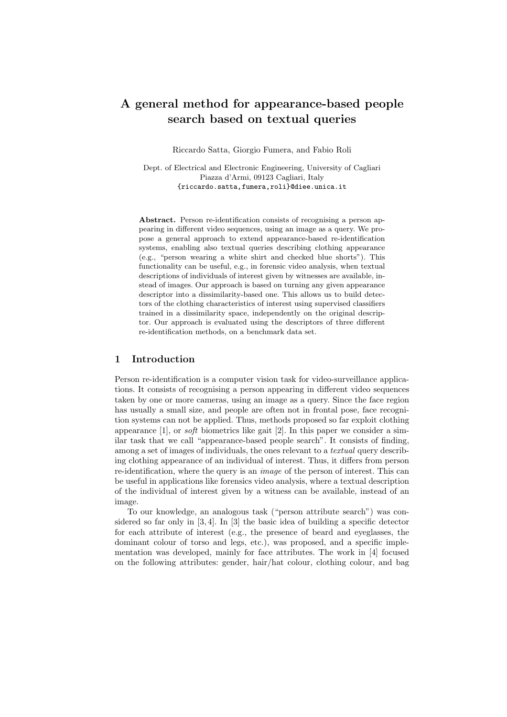# A general method for appearance-based people search based on textual queries

Riccardo Satta, Giorgio Fumera, and Fabio Roli

Dept. of Electrical and Electronic Engineering, University of Cagliari Piazza d'Armi, 09123 Cagliari, Italy {riccardo.satta,fumera,roli}@diee.unica.it

Abstract. Person re-identification consists of recognising a person appearing in different video sequences, using an image as a query. We propose a general approach to extend appearance-based re-identification systems, enabling also textual queries describing clothing appearance (e.g., "person wearing a white shirt and checked blue shorts"). This functionality can be useful, e.g., in forensic video analysis, when textual descriptions of individuals of interest given by witnesses are available, instead of images. Our approach is based on turning any given appearance descriptor into a dissimilarity-based one. This allows us to build detectors of the clothing characteristics of interest using supervised classifiers trained in a dissimilarity space, independently on the original descriptor. Our approach is evaluated using the descriptors of three different re-identification methods, on a benchmark data set.

## 1 Introduction

Person re-identification is a computer vision task for video-surveillance applications. It consists of recognising a person appearing in different video sequences taken by one or more cameras, using an image as a query. Since the face region has usually a small size, and people are often not in frontal pose, face recognition systems can not be applied. Thus, methods proposed so far exploit clothing appearance [1], or soft biometrics like gait [2]. In this paper we consider a similar task that we call "appearance-based people search". It consists of finding, among a set of images of individuals, the ones relevant to a *textual* query describing clothing appearance of an individual of interest. Thus, it differs from person re-identification, where the query is an image of the person of interest. This can be useful in applications like forensics video analysis, where a textual description of the individual of interest given by a witness can be available, instead of an image.

To our knowledge, an analogous task ("person attribute search") was considered so far only in [3, 4]. In [3] the basic idea of building a specific detector for each attribute of interest (e.g., the presence of beard and eyeglasses, the dominant colour of torso and legs, etc.), was proposed, and a specific implementation was developed, mainly for face attributes. The work in [4] focused on the following attributes: gender, hair/hat colour, clothing colour, and bag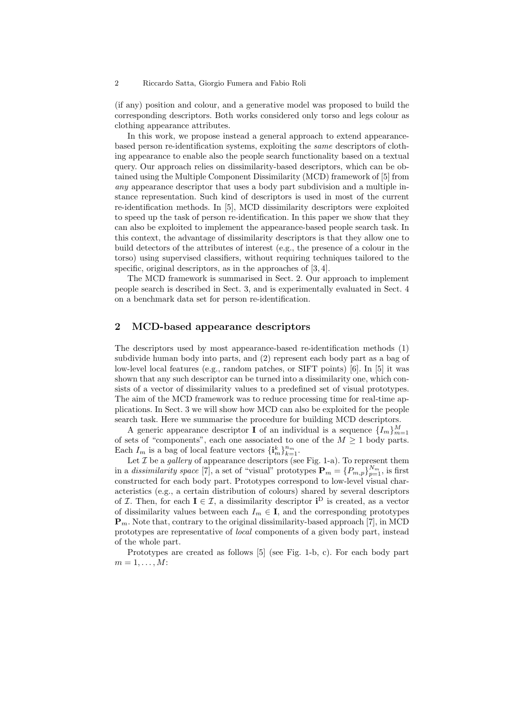#### 2 Riccardo Satta, Giorgio Fumera and Fabio Roli

(if any) position and colour, and a generative model was proposed to build the corresponding descriptors. Both works considered only torso and legs colour as clothing appearance attributes.

In this work, we propose instead a general approach to extend appearancebased person re-identification systems, exploiting the same descriptors of clothing appearance to enable also the people search functionality based on a textual query. Our approach relies on dissimilarity-based descriptors, which can be obtained using the Multiple Component Dissimilarity (MCD) framework of [5] from any appearance descriptor that uses a body part subdivision and a multiple instance representation. Such kind of descriptors is used in most of the current re-identification methods. In [5], MCD dissimilarity descriptors were exploited to speed up the task of person re-identification. In this paper we show that they can also be exploited to implement the appearance-based people search task. In this context, the advantage of dissimilarity descriptors is that they allow one to build detectors of the attributes of interest (e.g., the presence of a colour in the torso) using supervised classifiers, without requiring techniques tailored to the specific, original descriptors, as in the approaches of  $[3, 4]$ .

The MCD framework is summarised in Sect. 2. Our approach to implement people search is described in Sect. 3, and is experimentally evaluated in Sect. 4 on a benchmark data set for person re-identification.

## 2 MCD-based appearance descriptors

The descriptors used by most appearance-based re-identification methods (1) subdivide human body into parts, and (2) represent each body part as a bag of low-level local features (e.g., random patches, or SIFT points) [6]. In [5] it was shown that any such descriptor can be turned into a dissimilarity one, which consists of a vector of dissimilarity values to a predefined set of visual prototypes. The aim of the MCD framework was to reduce processing time for real-time applications. In Sect. 3 we will show how MCD can also be exploited for the people search task. Here we summarise the procedure for building MCD descriptors.

A generic appearance descriptor **I** of an individual is a sequence  $\{I_m\}_{m=1}^M$ of sets of "components", each one associated to one of the  $M \geq 1$  body parts. Each  $I_m$  is a bag of local feature vectors  $\{\mathbf{i}_m^k\}_{k=1}^{n_m}$ .

Let  $\mathcal I$  be a *gallery* of appearance descriptors (see Fig. 1-a). To represent them in a dissimilarity space [7], a set of "visual" prototypes  $\mathbf{P}_m = \{P_{m,p}\}_{p=1}^{N_m}$ , is first constructed for each body part. Prototypes correspond to low-level visual characteristics (e.g., a certain distribution of colours) shared by several descriptors of *I*. Then, for each  $I \in I$ , a dissimilarity descriptor  $i^D$  is created, as a vector of dissimilarity values between each  $I_m \in \mathbf{I}$ , and the corresponding prototypes  $\mathbf{P}_m$ . Note that, contrary to the original dissimilarity-based approach [7], in MCD prototypes are representative of local components of a given body part, instead of the whole part.

Prototypes are created as follows [5] (see Fig. 1-b, c). For each body part  $m=1,\ldots,M$ :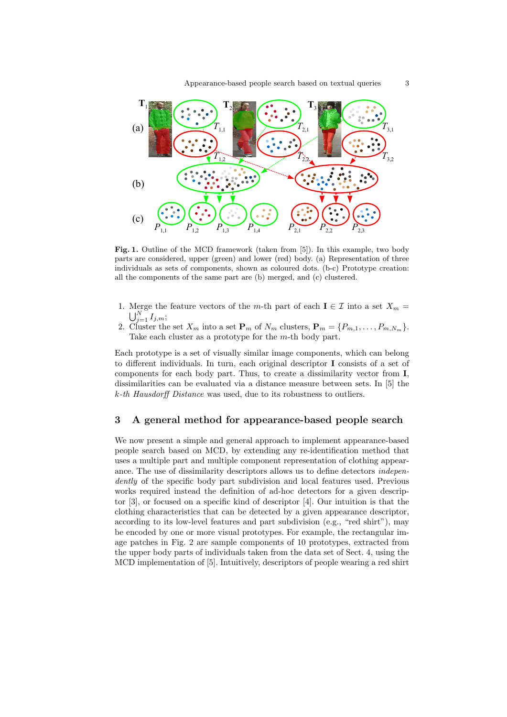

Fig. 1. Outline of the MCD framework (taken from [5]). In this example, two body parts are considered, upper (green) and lower (red) body. (a) Representation of three individuals as sets of components, shown as coloured dots. (b-c) Prototype creation: all the components of the same part are (b) merged, and (c) clustered.

- 1. Merge the feature vectors of the m-th part of each  $I \in \mathcal{I}$  into a set  $X_m =$  $\bigcup_{j=1}^N I_{j,m};$
- 2. Cluster the set  $X_m$  into a set  $\mathbf{P}_m$  of  $N_m$  clusters,  $\mathbf{P}_m = \{P_{m,1}, \ldots, P_{m,N_m}\}.$ Take each cluster as a prototype for the m-th body part.

Each prototype is a set of visually similar image components, which can belong to different individuals. In turn, each original descriptor I consists of a set of components for each body part. Thus, to create a dissimilarity vector from I, dissimilarities can be evaluated via a distance measure between sets. In [5] the k-th Hausdorff Distance was used, due to its robustness to outliers.

#### 3 A general method for appearance-based people search

We now present a simple and general approach to implement appearance-based people search based on MCD, by extending any re-identification method that uses a multiple part and multiple component representation of clothing appearance. The use of dissimilarity descriptors allows us to define detectors *indepen*dently of the specific body part subdivision and local features used. Previous works required instead the definition of ad-hoc detectors for a given descriptor [3], or focused on a specific kind of descriptor [4]. Our intuition is that the clothing characteristics that can be detected by a given appearance descriptor, according to its low-level features and part subdivision (e.g., "red shirt"), may be encoded by one or more visual prototypes. For example, the rectangular image patches in Fig. 2 are sample components of 10 prototypes, extracted from the upper body parts of individuals taken from the data set of Sect. 4, using the MCD implementation of [5]. Intuitively, descriptors of people wearing a red shirt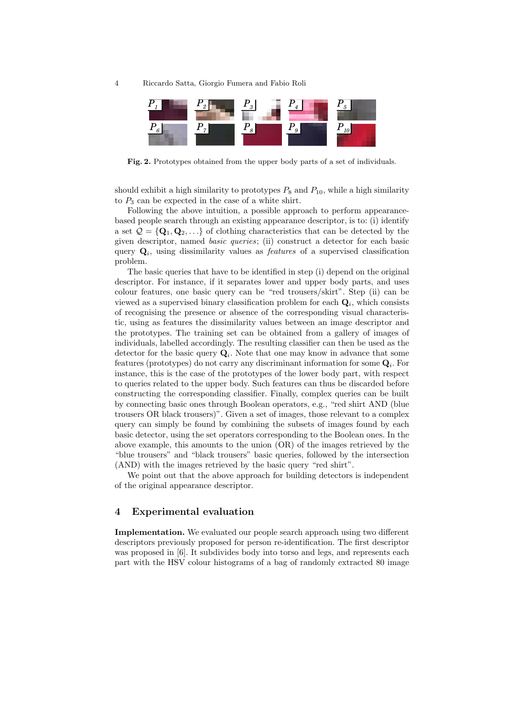4 Riccardo Satta, Giorgio Fumera and Fabio Roli



Fig. 2. Prototypes obtained from the upper body parts of a set of individuals.

should exhibit a high similarity to prototypes  $P_8$  and  $P_{10}$ , while a high similarity to  $P_3$  can be expected in the case of a white shirt.

Following the above intuition, a possible approach to perform appearancebased people search through an existing appearance descriptor, is to: (i) identify a set  $\mathcal{Q} = \{Q_1, Q_2, ...\}$  of clothing characteristics that can be detected by the given descriptor, named basic queries; (ii) construct a detector for each basic query  $\mathbf{Q}_i$ , using dissimilarity values as *features* of a supervised classification problem.

The basic queries that have to be identified in step (i) depend on the original descriptor. For instance, if it separates lower and upper body parts, and uses colour features, one basic query can be "red trousers/skirt". Step (ii) can be viewed as a supervised binary classification problem for each  $\mathbf{Q}_i$ , which consists of recognising the presence or absence of the corresponding visual characteristic, using as features the dissimilarity values between an image descriptor and the prototypes. The training set can be obtained from a gallery of images of individuals, labelled accordingly. The resulting classifier can then be used as the detector for the basic query  $\mathbf{Q}_i$ . Note that one may know in advance that some features (prototypes) do not carry any discriminant information for some  $\mathbf{Q}_i$ . For instance, this is the case of the prototypes of the lower body part, with respect to queries related to the upper body. Such features can thus be discarded before constructing the corresponding classifier. Finally, complex queries can be built by connecting basic ones through Boolean operators, e.g., "red shirt AND (blue trousers OR black trousers)". Given a set of images, those relevant to a complex query can simply be found by combining the subsets of images found by each basic detector, using the set operators corresponding to the Boolean ones. In the above example, this amounts to the union (OR) of the images retrieved by the "blue trousers" and "black trousers" basic queries, followed by the intersection (AND) with the images retrieved by the basic query "red shirt".

We point out that the above approach for building detectors is independent of the original appearance descriptor.

#### 4 Experimental evaluation

Implementation. We evaluated our people search approach using two different descriptors previously proposed for person re-identification. The first descriptor was proposed in [6]. It subdivides body into torso and legs, and represents each part with the HSV colour histograms of a bag of randomly extracted 80 image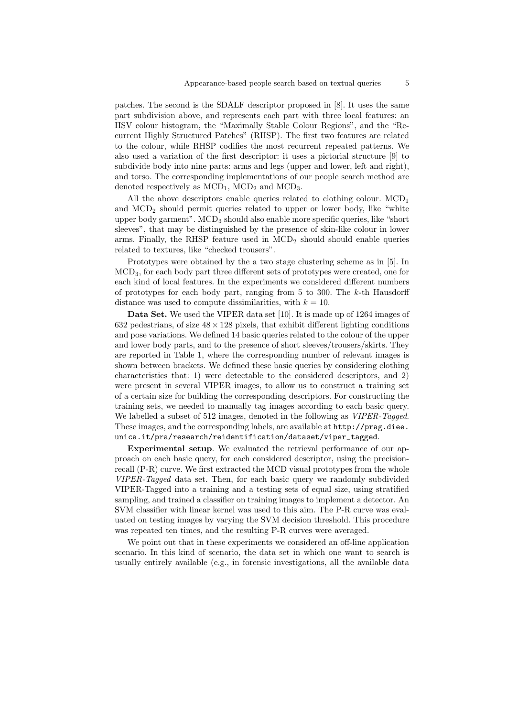patches. The second is the SDALF descriptor proposed in [8]. It uses the same part subdivision above, and represents each part with three local features: an HSV colour histogram, the "Maximally Stable Colour Regions", and the "Recurrent Highly Structured Patches" (RHSP). The first two features are related to the colour, while RHSP codifies the most recurrent repeated patterns. We also used a variation of the first descriptor: it uses a pictorial structure [9] to subdivide body into nine parts: arms and legs (upper and lower, left and right), and torso. The corresponding implementations of our people search method are denoted respectively as  $\text{MCD}_1$ ,  $\text{MCD}_2$  and  $\text{MCD}_3$ .

All the above descriptors enable queries related to clothing colour.  $\mathrm{MCD}_1$ and MCD<sup>2</sup> should permit queries related to upper or lower body, like "white upper body garment".  $MCD<sub>3</sub>$  should also enable more specific queries, like "short" sleeves", that may be distinguished by the presence of skin-like colour in lower arms. Finally, the RHSP feature used in  $MCD<sub>2</sub>$  should should enable queries related to textures, like "checked trousers".

Prototypes were obtained by the a two stage clustering scheme as in [5]. In MCD3, for each body part three different sets of prototypes were created, one for each kind of local features. In the experiments we considered different numbers of prototypes for each body part, ranging from  $5$  to 300. The  $k$ -th Hausdorff distance was used to compute dissimilarities, with  $k = 10$ .

Data Set. We used the VIPER data set [10]. It is made up of 1264 images of 632 pedestrians, of size  $48 \times 128$  pixels, that exhibit different lighting conditions and pose variations. We defined 14 basic queries related to the colour of the upper and lower body parts, and to the presence of short sleeves/trousers/skirts. They are reported in Table 1, where the corresponding number of relevant images is shown between brackets. We defined these basic queries by considering clothing characteristics that: 1) were detectable to the considered descriptors, and 2) were present in several VIPER images, to allow us to construct a training set of a certain size for building the corresponding descriptors. For constructing the training sets, we needed to manually tag images according to each basic query. We labelled a subset of 512 images, denoted in the following as *VIPER-Tagged*. These images, and the corresponding labels, are available at http://prag.diee. unica.it/pra/research/reidentification/dataset/viper\_tagged.

Experimental setup. We evaluated the retrieval performance of our approach on each basic query, for each considered descriptor, using the precisionrecall (P-R) curve. We first extracted the MCD visual prototypes from the whole VIPER-Tagged data set. Then, for each basic query we randomly subdivided VIPER-Tagged into a training and a testing sets of equal size, using stratified sampling, and trained a classifier on training images to implement a detector. An SVM classifier with linear kernel was used to this aim. The P-R curve was evaluated on testing images by varying the SVM decision threshold. This procedure was repeated ten times, and the resulting P-R curves were averaged.

We point out that in these experiments we considered an off-line application scenario. In this kind of scenario, the data set in which one want to search is usually entirely available (e.g., in forensic investigations, all the available data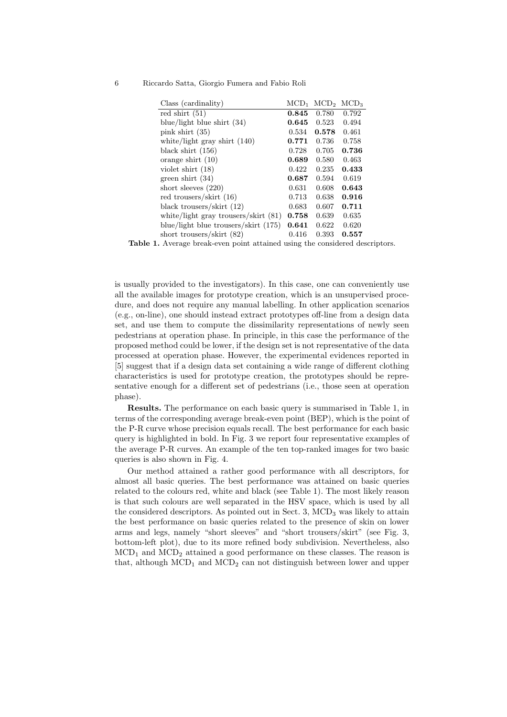#### 6 Riccardo Satta, Giorgio Fumera and Fabio Roli

| Class (cardinality)                    | $\rm MCD_1$ | $\rm MCD2$ | $\rm{MCD}_3$ |
|----------------------------------------|-------------|------------|--------------|
| red shirt $(51)$                       | 0.845       | 0.780      | 0.792        |
| blue/light blue shirt $(34)$           | 0.645       | 0.523      | 0.494        |
| pink shirt $(35)$                      | 0.534       | 0.578      | 0.461        |
| white/light gray shirt $(140)$         | 0.771       | 0.736      | 0.758        |
| black shirt $(156)$                    | 0.728       | 0.705      | 0.736        |
| orange shirt $(10)$                    | 0.689       | 0.580      | 0.463        |
| violet shirt $(18)$                    | 0.422       | 0.235      | 0.433        |
| green shirt $(34)$                     | 0.687       | 0.594      | 0.619        |
| short sleeves $(220)$                  | 0.631       | 0.608      | 0.643        |
| red trousers/skirt (16)                | 0.713       | 0.638      | 0.916        |
| black trousers/skirt $(12)$            | 0.683       | 0.607      | 0.711        |
| white/light gray trousers/skirt (81)   | 0.758       | 0.639      | 0.635        |
| blue/light blue trousers/skirt $(175)$ | 0.641       | 0.622      | 0.620        |
| short trousers/skirt $(82)$            | 0.416       | 0.393      | 0.557        |

Table 1. Average break-even point attained using the considered descriptors.

is usually provided to the investigators). In this case, one can conveniently use all the available images for prototype creation, which is an unsupervised procedure, and does not require any manual labelling. In other application scenarios (e.g., on-line), one should instead extract prototypes off-line from a design data set, and use them to compute the dissimilarity representations of newly seen pedestrians at operation phase. In principle, in this case the performance of the proposed method could be lower, if the design set is not representative of the data processed at operation phase. However, the experimental evidences reported in [5] suggest that if a design data set containing a wide range of different clothing characteristics is used for prototype creation, the prototypes should be representative enough for a different set of pedestrians (i.e., those seen at operation phase).

Results. The performance on each basic query is summarised in Table 1, in terms of the corresponding average break-even point (BEP), which is the point of the P-R curve whose precision equals recall. The best performance for each basic query is highlighted in bold. In Fig. 3 we report four representative examples of the average P-R curves. An example of the ten top-ranked images for two basic queries is also shown in Fig. 4.

Our method attained a rather good performance with all descriptors, for almost all basic queries. The best performance was attained on basic queries related to the colours red, white and black (see Table 1). The most likely reason is that such colours are well separated in the HSV space, which is used by all the considered descriptors. As pointed out in Sect. 3,  $\text{MCD}_3$  was likely to attain the best performance on basic queries related to the presence of skin on lower arms and legs, namely "short sleeves" and "short trousers/skirt" (see Fig. 3, bottom-left plot), due to its more refined body subdivision. Nevertheless, also  $MCD<sub>1</sub>$  and  $MCD<sub>2</sub>$  attained a good performance on these classes. The reason is that, although  $MCD_1$  and  $MCD_2$  can not distinguish between lower and upper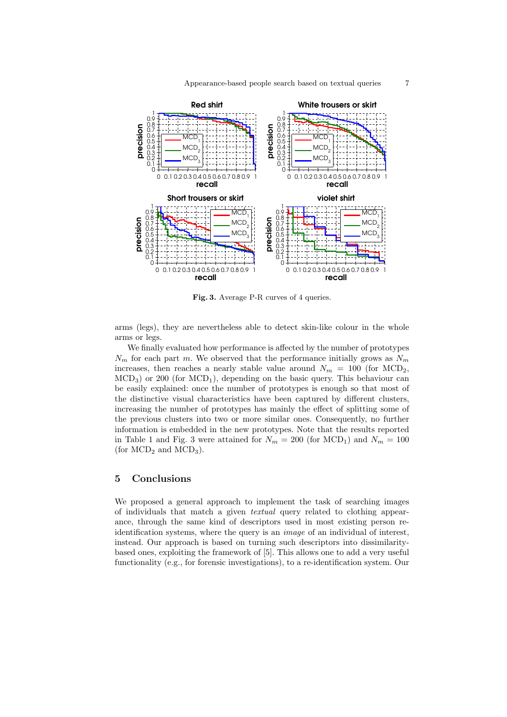

Fig. 3. Average P-R curves of 4 queries.

arms (legs), they are nevertheless able to detect skin-like colour in the whole arms or legs.

We finally evaluated how performance is affected by the number of prototypes  $N_m$  for each part m. We observed that the performance initially grows as  $N_m$ increases, then reaches a nearly stable value around  $N_m = 100$  (for MCD<sub>2</sub>,  $\text{MCD}_3$ ) or 200 (for  $\text{MCD}_1$ ), depending on the basic query. This behaviour can be easily explained: once the number of prototypes is enough so that most of the distinctive visual characteristics have been captured by different clusters, increasing the number of prototypes has mainly the effect of splitting some of the previous clusters into two or more similar ones. Consequently, no further information is embedded in the new prototypes. Note that the results reported in Table 1 and Fig. 3 were attained for  $N_m = 200$  (for MCD<sub>1</sub>) and  $N_m = 100$ (for  $\text{MCD}_2$  and  $\text{MCD}_3$ ).

# 5 Conclusions

We proposed a general approach to implement the task of searching images of individuals that match a given textual query related to clothing appearance, through the same kind of descriptors used in most existing person reidentification systems, where the query is an image of an individual of interest, instead. Our approach is based on turning such descriptors into dissimilaritybased ones, exploiting the framework of [5]. This allows one to add a very useful functionality (e.g., for forensic investigations), to a re-identification system. Our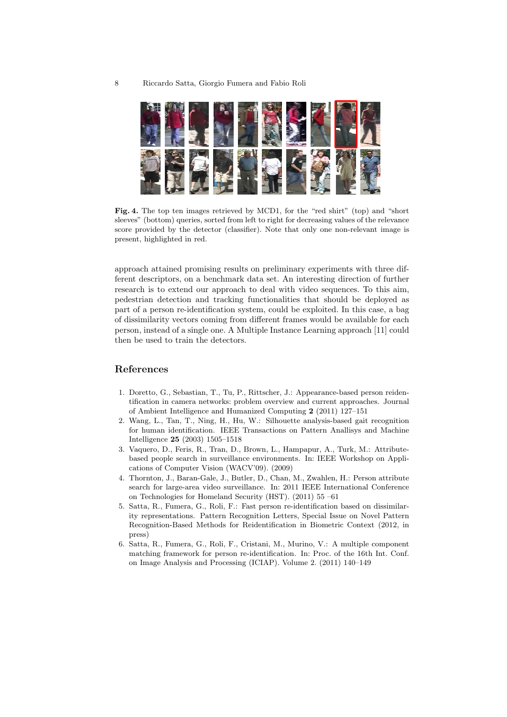

Fig. 4. The top ten images retrieved by MCD1, for the "red shirt" (top) and "short" sleeves" (bottom) queries, sorted from left to right for decreasing values of the relevance score provided by the detector (classifier). Note that only one non-relevant image is present, highlighted in red.

approach attained promising results on preliminary experiments with three different descriptors, on a benchmark data set. An interesting direction of further research is to extend our approach to deal with video sequences. To this aim, pedestrian detection and tracking functionalities that should be deployed as part of a person re-identification system, could be exploited. In this case, a bag of dissimilarity vectors coming from different frames would be available for each person, instead of a single one. A Multiple Instance Learning approach [11] could then be used to train the detectors.

## References

- 1. Doretto, G., Sebastian, T., Tu, P., Rittscher, J.: Appearance-based person reidentification in camera networks: problem overview and current approaches. Journal of Ambient Intelligence and Humanized Computing 2 (2011) 127–151
- 2. Wang, L., Tan, T., Ning, H., Hu, W.: Silhouette analysis-based gait recognition for human identification. IEEE Transactions on Pattern Anallisys and Machine Intelligence 25 (2003) 1505–1518
- 3. Vaquero, D., Feris, R., Tran, D., Brown, L., Hampapur, A., Turk, M.: Attributebased people search in surveillance environments. In: IEEE Workshop on Applications of Computer Vision (WACV'09). (2009)
- 4. Thornton, J., Baran-Gale, J., Butler, D., Chan, M., Zwahlen, H.: Person attribute search for large-area video surveillance. In: 2011 IEEE International Conference on Technologies for Homeland Security (HST). (2011) 55 –61
- 5. Satta, R., Fumera, G., Roli, F.: Fast person re-identification based on dissimilarity representations. Pattern Recognition Letters, Special Issue on Novel Pattern Recognition-Based Methods for Reidentification in Biometric Context (2012, in press)
- 6. Satta, R., Fumera, G., Roli, F., Cristani, M., Murino, V.: A multiple component matching framework for person re-identification. In: Proc. of the 16th Int. Conf. on Image Analysis and Processing (ICIAP). Volume 2. (2011) 140–149